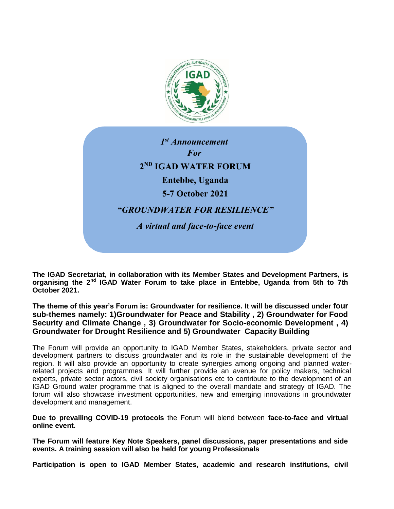

*1 st Announcement For* **2 ND IGAD WATER FORUM Entebbe, Uganda 5-7 October 2021** *"GROUNDWATER FOR RESILIENCE" A virtual and face-to-face event* 

The IGAD Secretariat, in collaboration with its Member States and Development Partners, is **organising the 2nd IGAD Water Forum to take place in Entebbe, Uganda from 5th to 7th October 2021.** 

**The theme of this year's Forum is: Groundwater for resilience. It will be discussed under four sub-themes namely: 1)Groundwater for Peace and Stability , 2) Groundwater for Food Security and Climate Change , 3) Groundwater for Socio-economic Development , 4) Groundwater for Drought Resilience and 5) Groundwater Capacity Building** 

The Forum will provide an opportunity to IGAD Member States, stakeholders, private sector and development partners to discuss groundwater and its role in the sustainable development of the region. It will also provide an opportunity to create synergies among ongoing and planned waterrelated projects and programmes. It will further provide an avenue for policy makers, technical experts, private sector actors, civil society organisations etc to contribute to the development of an IGAD Ground water programme that is aligned to the overall mandate and strategy of IGAD. The forum will also showcase investment opportunities, new and emerging innovations in groundwater development and management.

**Due to prevailing COVID-19 protocols** the Forum will blend between **face-to-face and virtual online event.** 

**The Forum will feature Key Note Speakers, panel discussions, paper presentations and side events. A training session will also be held for young Professionals** 

**Participation is open to IGAD Member States, academic and research institutions, civil**